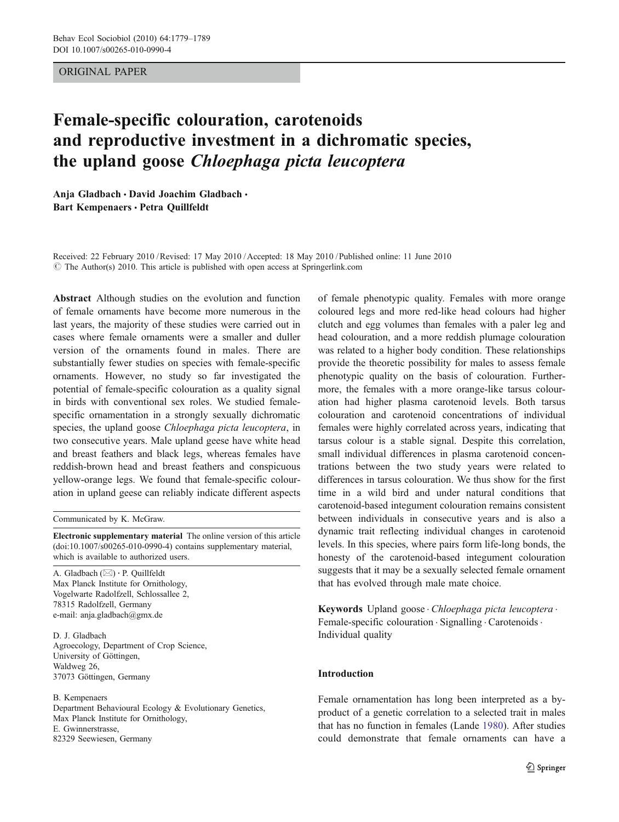## ORIGINAL PAPER

# Female-specific colouration, carotenoids and reproductive investment in a dichromatic species, the upland goose Chloephaga picta leucoptera

Anja Gladbach · David Joachim Gladbach · Bart Kempenaers · Petra Quillfeldt

Received: 22 February 2010 /Revised: 17 May 2010 /Accepted: 18 May 2010 / Published online: 11 June 2010  $\circ$  The Author(s) 2010. This article is published with open access at Springerlink.com

Abstract Although studies on the evolution and function of female ornaments have become more numerous in the last years, the majority of these studies were carried out in cases where female ornaments were a smaller and duller version of the ornaments found in males. There are substantially fewer studies on species with female-specific ornaments. However, no study so far investigated the potential of female-specific colouration as a quality signal in birds with conventional sex roles. We studied femalespecific ornamentation in a strongly sexually dichromatic species, the upland goose Chloephaga picta leucoptera, in two consecutive years. Male upland geese have white head and breast feathers and black legs, whereas females have reddish-brown head and breast feathers and conspicuous yellow-orange legs. We found that female-specific colouration in upland geese can reliably indicate different aspects

Communicated by K. McGraw.

Electronic supplementary material The online version of this article (doi:[10.1007/s00265-010-0990-4](http://dx.doi.org/10.1007/s00265-010-0990-4)) contains supplementary material, which is available to authorized users.

A. Gladbach  $(\boxtimes) \cdot$  P. Quillfeldt Max Planck Institute for Ornithology, Vogelwarte Radolfzell, Schlossallee 2, 78315 Radolfzell, Germany e-mail: anja.gladbach@gmx.de

D. J. Gladbach Agroecology, Department of Crop Science, University of Göttingen, Waldweg 26, 37073 Göttingen, Germany

B. Kempenaers

Department Behavioural Ecology & Evolutionary Genetics, Max Planck Institute for Ornithology, E. Gwinnerstrasse, 82329 Seewiesen, Germany

of female phenotypic quality. Females with more orange coloured legs and more red-like head colours had higher clutch and egg volumes than females with a paler leg and head colouration, and a more reddish plumage colouration was related to a higher body condition. These relationships provide the theoretic possibility for males to assess female phenotypic quality on the basis of colouration. Furthermore, the females with a more orange-like tarsus colouration had higher plasma carotenoid levels. Both tarsus colouration and carotenoid concentrations of individual females were highly correlated across years, indicating that tarsus colour is a stable signal. Despite this correlation, small individual differences in plasma carotenoid concentrations between the two study years were related to differences in tarsus colouration. We thus show for the first time in a wild bird and under natural conditions that carotenoid-based integument colouration remains consistent between individuals in consecutive years and is also a dynamic trait reflecting individual changes in carotenoid levels. In this species, where pairs form life-long bonds, the honesty of the carotenoid-based integument colouration suggests that it may be a sexually selected female ornament that has evolved through male mate choice.

Keywords Upland goose . Chloephaga picta leucoptera . Female-specific colouration · Signalling · Carotenoids · Individual quality

# Introduction

Female ornamentation has long been interpreted as a byproduct of a genetic correlation to a selected trait in males that has no function in females (Lande [1980](#page-9-0)). After studies could demonstrate that female ornaments can have a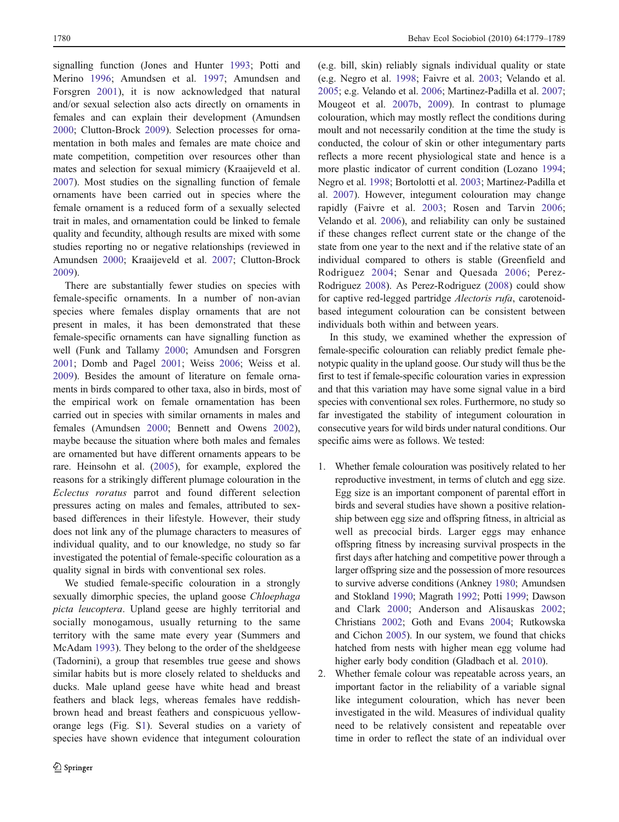signalling function (Jones and Hunter [1993](#page-9-0); Potti and Merino [1996](#page-10-0); Amundsen et al. [1997;](#page-8-0) Amundsen and Forsgren [2001\)](#page-8-0), it is now acknowledged that natural and/or sexual selection also acts directly on ornaments in females and can explain their development (Amundsen [2000;](#page-8-0) Clutton-Brock [2009](#page-9-0)). Selection processes for ornamentation in both males and females are mate choice and mate competition, competition over resources other than mates and selection for sexual mimicry (Kraaijeveld et al. [2007\)](#page-9-0). Most studies on the signalling function of female ornaments have been carried out in species where the female ornament is a reduced form of a sexually selected trait in males, and ornamentation could be linked to female quality and fecundity, although results are mixed with some studies reporting no or negative relationships (reviewed in Amundsen [2000;](#page-8-0) Kraaijeveld et al. [2007](#page-9-0); Clutton-Brock [2009\)](#page-9-0).

There are substantially fewer studies on species with female-specific ornaments. In a number of non-avian species where females display ornaments that are not present in males, it has been demonstrated that these female-specific ornaments can have signalling function as well (Funk and Tallamy [2000;](#page-9-0) Amundsen and Forsgren [2001;](#page-8-0) Domb and Pagel [2001](#page-9-0); Weiss [2006](#page-10-0); Weiss et al. [2009\)](#page-10-0). Besides the amount of literature on female ornaments in birds compared to other taxa, also in birds, most of the empirical work on female ornamentation has been carried out in species with similar ornaments in males and females (Amundsen [2000;](#page-8-0) Bennett and Owens [2002](#page-9-0)), maybe because the situation where both males and females are ornamented but have different ornaments appears to be rare. Heinsohn et al. ([2005\)](#page-9-0), for example, explored the reasons for a strikingly different plumage colouration in the Eclectus roratus parrot and found different selection pressures acting on males and females, attributed to sexbased differences in their lifestyle. However, their study does not link any of the plumage characters to measures of individual quality, and to our knowledge, no study so far investigated the potential of female-specific colouration as a quality signal in birds with conventional sex roles.

We studied female-specific colouration in a strongly sexually dimorphic species, the upland goose Chloephaga picta leucoptera. Upland geese are highly territorial and socially monogamous, usually returning to the same territory with the same mate every year (Summers and McAdam [1993](#page-10-0)). They belong to the order of the sheldgeese (Tadornini), a group that resembles true geese and shows similar habits but is more closely related to shelducks and ducks. Male upland geese have white head and breast feathers and black legs, whereas females have reddishbrown head and breast feathers and conspicuous yelloworange legs (Fig. S1). Several studies on a variety of species have shown evidence that integument colouration

(e.g. bill, skin) reliably signals individual quality or state (e.g. Negro et al. [1998;](#page-10-0) Faivre et al. [2003;](#page-9-0) Velando et al. [2005](#page-10-0); e.g. Velando et al. [2006;](#page-10-0) Martinez-Padilla et al. [2007;](#page-9-0) Mougeot et al. [2007b,](#page-10-0) [2009\)](#page-10-0). In contrast to plumage colouration, which may mostly reflect the conditions during moult and not necessarily condition at the time the study is conducted, the colour of skin or other integumentary parts reflects a more recent physiological state and hence is a more plastic indicator of current condition (Lozano [1994;](#page-9-0) Negro et al. [1998](#page-10-0); Bortolotti et al. [2003](#page-9-0); Martinez-Padilla et al. [2007\)](#page-9-0). However, integument colouration may change rapidly (Faivre et al. [2003;](#page-9-0) Rosen and Tarvin [2006;](#page-10-0) Velando et al. [2006](#page-10-0)), and reliability can only be sustained if these changes reflect current state or the change of the state from one year to the next and if the relative state of an individual compared to others is stable (Greenfield and Rodriguez [2004](#page-9-0); Senar and Quesada [2006](#page-10-0); Perez-Rodriguez [2008](#page-10-0)). As Perez-Rodriguez ([2008\)](#page-10-0) could show for captive red-legged partridge Alectoris rufa, carotenoidbased integument colouration can be consistent between individuals both within and between years.

In this study, we examined whether the expression of female-specific colouration can reliably predict female phenotypic quality in the upland goose. Our study will thus be the first to test if female-specific colouration varies in expression and that this variation may have some signal value in a bird species with conventional sex roles. Furthermore, no study so far investigated the stability of integument colouration in consecutive years for wild birds under natural conditions. Our specific aims were as follows. We tested:

- 1. Whether female colouration was positively related to her reproductive investment, in terms of clutch and egg size. Egg size is an important component of parental effort in birds and several studies have shown a positive relationship between egg size and offspring fitness, in altricial as well as precocial birds. Larger eggs may enhance offspring fitness by increasing survival prospects in the first days after hatching and competitive power through a larger offspring size and the possession of more resources to survive adverse conditions (Ankney [1980;](#page-8-0) Amundsen and Stokland [1990](#page-8-0); Magrath [1992](#page-9-0); Potti [1999](#page-10-0); Dawson and Clark [2000](#page-9-0); Anderson and Alisauskas [2002;](#page-8-0) Christians [2002](#page-9-0); Goth and Evans [2004](#page-9-0); Rutkowska and Cichon [2005](#page-10-0)). In our system, we found that chicks hatched from nests with higher mean egg volume had higher early body condition (Gladbach et al. [2010\)](#page-9-0).
- 2. Whether female colour was repeatable across years, an important factor in the reliability of a variable signal like integument colouration, which has never been investigated in the wild. Measures of individual quality need to be relatively consistent and repeatable over time in order to reflect the state of an individual over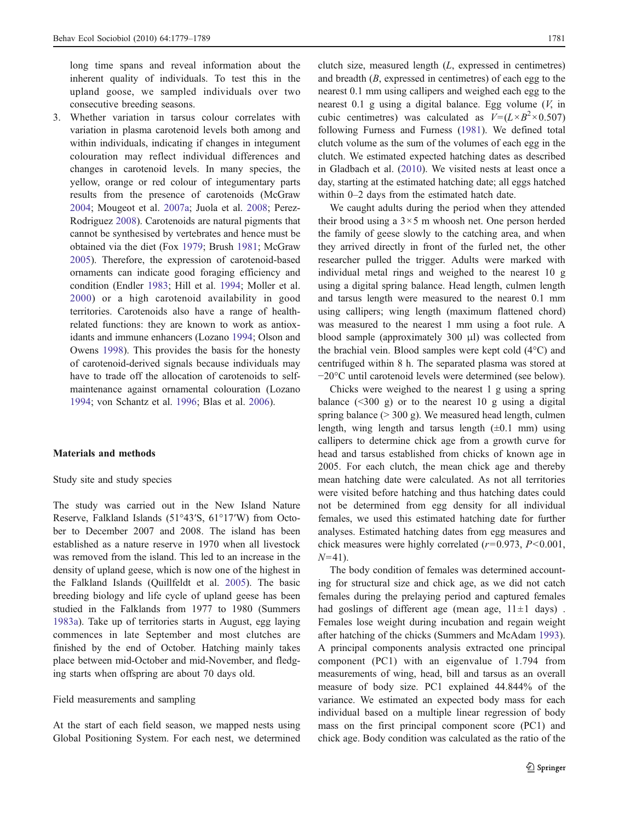long time spans and reveal information about the inherent quality of individuals. To test this in the upland goose, we sampled individuals over two consecutive breeding seasons.

3. Whether variation in tarsus colour correlates with variation in plasma carotenoid levels both among and within individuals, indicating if changes in integument colouration may reflect individual differences and changes in carotenoid levels. In many species, the yellow, orange or red colour of integumentary parts results from the presence of carotenoids (McGraw [2004](#page-9-0); Mougeot et al. [2007a](#page-10-0); Juola et al. [2008;](#page-9-0) Perez-Rodriguez [2008](#page-10-0)). Carotenoids are natural pigments that cannot be synthesised by vertebrates and hence must be obtained via the diet (Fox [1979](#page-9-0); Brush [1981](#page-9-0); McGraw [2005](#page-9-0)). Therefore, the expression of carotenoid-based ornaments can indicate good foraging efficiency and condition (Endler [1983;](#page-9-0) Hill et al. [1994;](#page-9-0) Moller et al. [2000](#page-9-0)) or a high carotenoid availability in good territories. Carotenoids also have a range of healthrelated functions: they are known to work as antioxidants and immune enhancers (Lozano [1994](#page-9-0); Olson and Owens [1998\)](#page-10-0). This provides the basis for the honesty of carotenoid-derived signals because individuals may have to trade off the allocation of carotenoids to selfmaintenance against ornamental colouration (Lozano [1994](#page-9-0); von Schantz et al. [1996](#page-10-0); Blas et al. [2006](#page-9-0)).

## Materials and methods

#### Study site and study species

The study was carried out in the New Island Nature Reserve, Falkland Islands (51°43′S, 61°17′W) from October to December 2007 and 2008. The island has been established as a nature reserve in 1970 when all livestock was removed from the island. This led to an increase in the density of upland geese, which is now one of the highest in the Falkland Islands (Quillfeldt et al. [2005\)](#page-10-0). The basic breeding biology and life cycle of upland geese has been studied in the Falklands from 1977 to 1980 (Summers [1983a](#page-10-0)). Take up of territories starts in August, egg laying commences in late September and most clutches are finished by the end of October. Hatching mainly takes place between mid-October and mid-November, and fledging starts when offspring are about 70 days old.

#### Field measurements and sampling

At the start of each field season, we mapped nests using Global Positioning System. For each nest, we determined clutch size, measured length (L, expressed in centimetres) and breadth (B, expressed in centimetres) of each egg to the nearest 0.1 mm using callipers and weighed each egg to the nearest 0.1 g using a digital balance. Egg volume (V, in cubic centimetres) was calculated as  $V = (L \times B^2 \times 0.507)$ following Furness and Furness ([1981\)](#page-9-0). We defined total clutch volume as the sum of the volumes of each egg in the clutch. We estimated expected hatching dates as described in Gladbach et al. [\(2010](#page-9-0)). We visited nests at least once a day, starting at the estimated hatching date; all eggs hatched within 0–2 days from the estimated hatch date.

We caught adults during the period when they attended their brood using a  $3 \times 5$  m whoosh net. One person herded the family of geese slowly to the catching area, and when they arrived directly in front of the furled net, the other researcher pulled the trigger. Adults were marked with individual metal rings and weighed to the nearest 10 g using a digital spring balance. Head length, culmen length and tarsus length were measured to the nearest 0.1 mm using callipers; wing length (maximum flattened chord) was measured to the nearest 1 mm using a foot rule. A blood sample (approximately 300 μl) was collected from the brachial vein. Blood samples were kept cold (4°C) and centrifuged within 8 h. The separated plasma was stored at −20°C until carotenoid levels were determined (see below).

Chicks were weighed to the nearest 1 g using a spring balance  $(\leq 300 \text{ g})$  or to the nearest 10 g using a digital spring balance ( $>$  300 g). We measured head length, culmen length, wing length and tarsus length  $(\pm 0.1 \text{ mm})$  using callipers to determine chick age from a growth curve for head and tarsus established from chicks of known age in 2005. For each clutch, the mean chick age and thereby mean hatching date were calculated. As not all territories were visited before hatching and thus hatching dates could not be determined from egg density for all individual females, we used this estimated hatching date for further analyses. Estimated hatching dates from egg measures and chick measures were highly correlated  $(r=0.973, P<0.001,$  $N=41$ ).

The body condition of females was determined accounting for structural size and chick age, as we did not catch females during the prelaying period and captured females had goslings of different age (mean age,  $11 \pm 1$  days). Females lose weight during incubation and regain weight after hatching of the chicks (Summers and McAdam [1993\)](#page-10-0). A principal components analysis extracted one principal component (PC1) with an eigenvalue of 1.794 from measurements of wing, head, bill and tarsus as an overall measure of body size. PC1 explained 44.844% of the variance. We estimated an expected body mass for each individual based on a multiple linear regression of body mass on the first principal component score (PC1) and chick age. Body condition was calculated as the ratio of the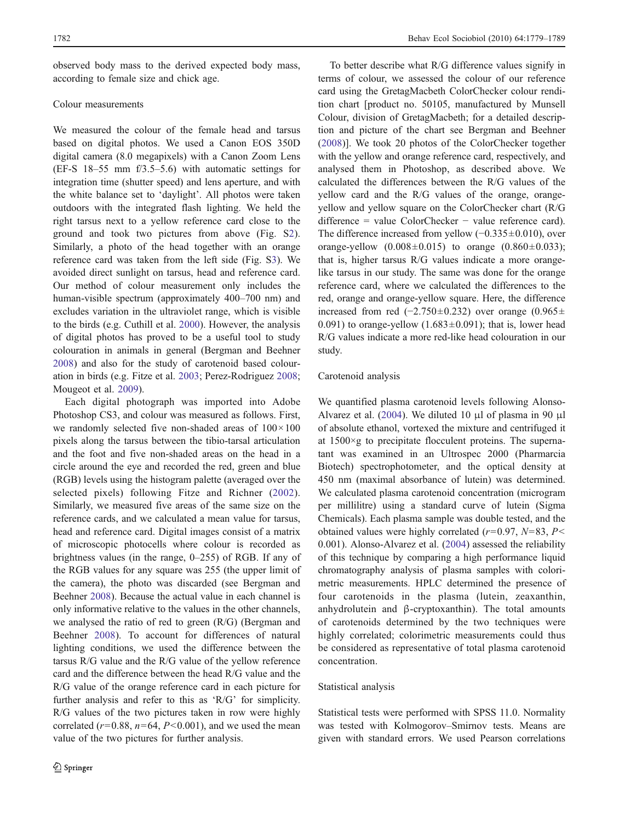<span id="page-3-0"></span>observed body mass to the derived expected body mass, according to female size and chick age.

## Colour measurements

We measured the colour of the female head and tarsus based on digital photos. We used a Canon EOS 350D digital camera (8.0 megapixels) with a Canon Zoom Lens (EF-S 18–55 mm f/3.5–5.6) with automatic settings for integration time (shutter speed) and lens aperture, and with the white balance set to 'daylight'. All photos were taken outdoors with the integrated flash lighting. We held the right tarsus next to a yellow reference card close to the ground and took two pictures from above (Fig. S2). Similarly, a photo of the head together with an orange reference card was taken from the left side (Fig. S3). We avoided direct sunlight on tarsus, head and reference card. Our method of colour measurement only includes the human-visible spectrum (approximately 400–700 nm) and excludes variation in the ultraviolet range, which is visible to the birds (e.g. Cuthill et al. [2000](#page-9-0)). However, the analysis of digital photos has proved to be a useful tool to study colouration in animals in general (Bergman and Beehner [2008\)](#page-9-0) and also for the study of carotenoid based colouration in birds (e.g. Fitze et al. [2003;](#page-9-0) Perez-Rodriguez [2008](#page-10-0); Mougeot et al. [2009](#page-10-0)).

Each digital photograph was imported into Adobe Photoshop CS3, and colour was measured as follows. First, we randomly selected five non-shaded areas of  $100 \times 100$ pixels along the tarsus between the tibio-tarsal articulation and the foot and five non-shaded areas on the head in a circle around the eye and recorded the red, green and blue (RGB) levels using the histogram palette (averaged over the selected pixels) following Fitze and Richner ([2002](#page-9-0)). Similarly, we measured five areas of the same size on the reference cards, and we calculated a mean value for tarsus, head and reference card. Digital images consist of a matrix of microscopic photocells where colour is recorded as brightness values (in the range, 0–255) of RGB. If any of the RGB values for any square was 255 (the upper limit of the camera), the photo was discarded (see Bergman and Beehner [2008\)](#page-9-0). Because the actual value in each channel is only informative relative to the values in the other channels, we analysed the ratio of red to green (R/G) (Bergman and Beehner [2008](#page-9-0)). To account for differences of natural lighting conditions, we used the difference between the tarsus R/G value and the R/G value of the yellow reference card and the difference between the head R/G value and the R/G value of the orange reference card in each picture for further analysis and refer to this as 'R/G' for simplicity. R/G values of the two pictures taken in row were highly correlated ( $r=0.88$ ,  $n=64$ ,  $P<0.001$ ), and we used the mean value of the two pictures for further analysis.

To better describe what R/G difference values signify in terms of colour, we assessed the colour of our reference card using the GretagMacbeth ColorChecker colour rendition chart [product no. 50105, manufactured by Munsell Colour, division of GretagMacbeth; for a detailed description and picture of the chart see Bergman and Beehner [\(2008](#page-9-0))]. We took 20 photos of the ColorChecker together with the yellow and orange reference card, respectively, and analysed them in Photoshop, as described above. We calculated the differences between the R/G values of the yellow card and the R/G values of the orange, orangeyellow and yellow square on the ColorChecker chart (R/G difference = value ColorChecker − value reference card). The difference increased from yellow (−0.335±0.010), over orange-yellow  $(0.008 \pm 0.015)$  to orange  $(0.860 \pm 0.033)$ ; that is, higher tarsus R/G values indicate a more orangelike tarsus in our study. The same was done for the orange reference card, where we calculated the differences to the red, orange and orange-yellow square. Here, the difference increased from red (−2.750±0.232) over orange (0.965± 0.091) to orange-yellow  $(1.683 \pm 0.091)$ ; that is, lower head R/G values indicate a more red-like head colouration in our study.

#### Carotenoid analysis

We quantified plasma carotenoid levels following Alonso-Alvarez et al. [\(2004\)](#page-8-0). We diluted 10 μl of plasma in 90 μl of absolute ethanol, vortexed the mixture and centrifuged it at 1500×g to precipitate flocculent proteins. The supernatant was examined in an Ultrospec 2000 (Pharmarcia Biotech) spectrophotometer, and the optical density at 450 nm (maximal absorbance of lutein) was determined. We calculated plasma carotenoid concentration (microgram per millilitre) using a standard curve of lutein (Sigma Chemicals). Each plasma sample was double tested, and the obtained values were highly correlated  $(r=0.97, N=83, P<$ 0.001). Alonso-Alvarez et al. ([2004\)](#page-8-0) assessed the reliability of this technique by comparing a high performance liquid chromatography analysis of plasma samples with colorimetric measurements. HPLC determined the presence of four carotenoids in the plasma (lutein, zeaxanthin, anhydrolutein and β-cryptoxanthin). The total amounts of carotenoids determined by the two techniques were highly correlated; colorimetric measurements could thus be considered as representative of total plasma carotenoid concentration.

#### Statistical analysis

Statistical tests were performed with SPSS 11.0. Normality was tested with Kolmogorov–Smirnov tests. Means are given with standard errors. We used Pearson correlations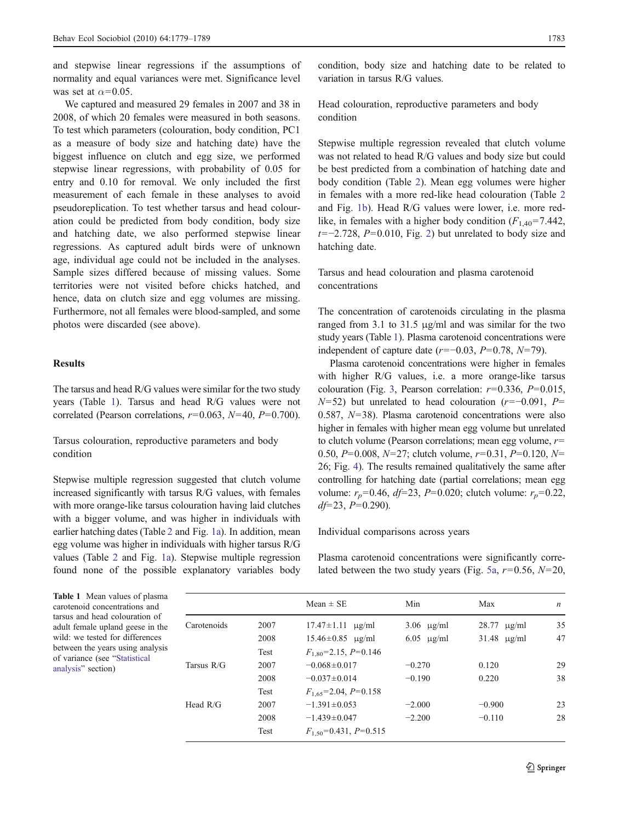and stepwise linear regressions if the assumptions of normality and equal variances were met. Significance level was set at  $\alpha$ =0.05.

We captured and measured 29 females in 2007 and 38 in 2008, of which 20 females were measured in both seasons. To test which parameters (colouration, body condition, PC1 as a measure of body size and hatching date) have the biggest influence on clutch and egg size, we performed stepwise linear regressions, with probability of 0.05 for entry and 0.10 for removal. We only included the first measurement of each female in these analyses to avoid pseudoreplication. To test whether tarsus and head colouration could be predicted from body condition, body size and hatching date, we also performed stepwise linear regressions. As captured adult birds were of unknown age, individual age could not be included in the analyses. Sample sizes differed because of missing values. Some territories were not visited before chicks hatched, and hence, data on clutch size and egg volumes are missing. Furthermore, not all females were blood-sampled, and some photos were discarded (see above).

# Results

The tarsus and head R/G values were similar for the two study years (Table 1). Tarsus and head R/G values were not correlated (Pearson correlations,  $r=0.063$ ,  $N=40$ ,  $P=0.700$ ).

Tarsus colouration, reproductive parameters and body condition

Stepwise multiple regression suggested that clutch volume increased significantly with tarsus R/G values, with females with more orange-like tarsus colouration having laid clutches with a bigger volume, and was higher in individuals with earlier hatching dates (Table [2](#page-5-0) and Fig. [1a](#page-5-0)). In addition, mean egg volume was higher in individuals with higher tarsus R/G values (Table [2](#page-5-0) and Fig. [1a](#page-5-0)). Stepwise multiple regression found none of the possible explanatory variables body

condition, body size and hatching date to be related to variation in tarsus R/G values.

Head colouration, reproductive parameters and body condition

Stepwise multiple regression revealed that clutch volume was not related to head R/G values and body size but could be best predicted from a combination of hatching date and body condition (Table [2\)](#page-5-0). Mean egg volumes were higher in females with a more red-like head colouration (Table [2](#page-5-0) and Fig. [1b\)](#page-5-0). Head R/G values were lower, i.e. more redlike, in females with a higher body condition  $(F_{1,40} = 7.442)$ ,  $t=-2.728$ ,  $P=0.010$ , Fig. [2\)](#page-6-0) but unrelated to body size and hatching date.

Tarsus and head colouration and plasma carotenoid concentrations

The concentration of carotenoids circulating in the plasma ranged from 3.1 to 31.5 μg/ml and was similar for the two study years (Table 1). Plasma carotenoid concentrations were independent of capture date  $(r=-0.03, P=0.78, N=79)$ .

Plasma carotenoid concentrations were higher in females with higher R/G values, i.e. a more orange-like tarsus colouration (Fig. [3,](#page-6-0) Pearson correlation:  $r=0.336$ ,  $P=0.015$ ,  $N=52$ ) but unrelated to head colouration (r=−0.091, P= 0.587,  $N=38$ ). Plasma carotenoid concentrations were also higher in females with higher mean egg volume but unrelated to clutch volume (Pearson correlations; mean egg volume,  $r=$ 0.50,  $P=0.008$ ,  $N=27$ ; clutch volume,  $r=0.31$ ,  $P=0.120$ ,  $N=$ 26; Fig. [4\)](#page-6-0). The results remained qualitatively the same after controlling for hatching date (partial correlations; mean egg volume:  $r_p = 0.46$ ,  $df = 23$ ,  $P = 0.020$ ; clutch volume:  $r_p = 0.22$ ,  $df=23$ ,  $P=0.290$ ).

## Individual comparisons across years

Plasma carotenoid concentrations were significantly corre-lated between the two study years (Fig. [5a,](#page-7-0)  $r=0.56$ ,  $N=20$ ,

Table 1 Mean values of plasma carotenoid concentrations and tarsus and head colouration of adult female upland geese in the wild: we tested for differences between the years using analysis of variance (see "[Statistical](#page-3-0) [analysis](#page-3-0)" section)

|             |      | Mean $\pm$ SE                   | Min                  | Max              | $\boldsymbol{n}$ |
|-------------|------|---------------------------------|----------------------|------------------|------------------|
| Carotenoids | 2007 | $17.47 \pm 1.11$ $\mu$ g/ml     | $3.06 \text{ µg/ml}$ | $28.77 \mu g/ml$ | 35               |
|             | 2008 | $15.46 \pm 0.85$ µg/ml          | $6.05 \text{ µg/ml}$ | $31.48 \mu g/ml$ | 47               |
|             | Test | $F_{1.80} = 2.15$ , $P = 0.146$ |                      |                  |                  |
| Tarsus R/G  | 2007 | $-0.068 \pm 0.017$              | $-0.270$             | 0.120            | 29               |
|             | 2008 | $-0.037 \pm 0.014$              | $-0.190$             | 0.220            | 38               |
|             | Test | $F_{1.65} = 2.04, P = 0.158$    |                      |                  |                  |
| Head R/G    | 2007 | $-1.391 \pm 0.053$              | $-2.000$             | $-0.900$         | 23               |
|             | 2008 | $-1.439 \pm 0.047$              | $-2.200$             | $-0.110$         | 28               |
|             | Test | $F_{1.50}$ =0.431, P=0.515      |                      |                  |                  |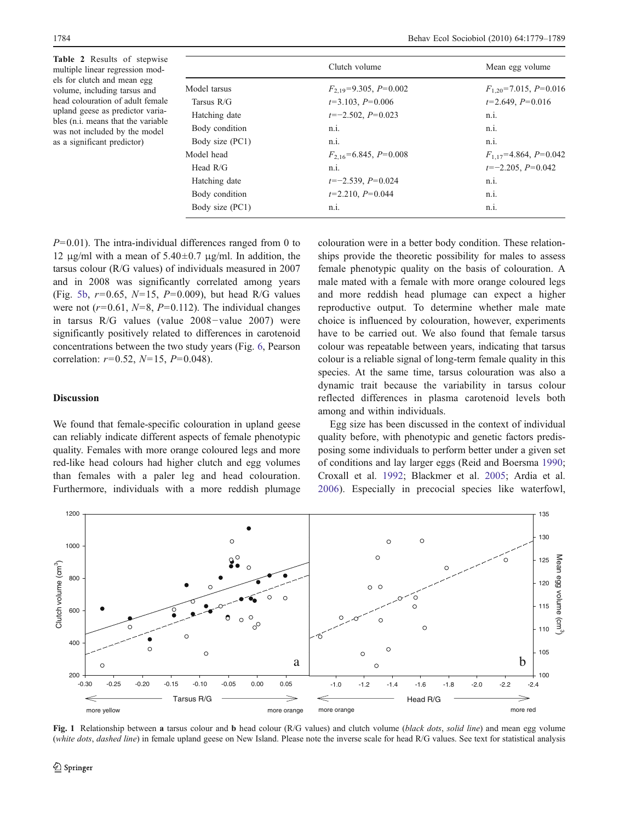<span id="page-5-0"></span>Table 2 Results of stepwise multiple linear regression models for clutch and mean egg volume, including tarsus and head colouration of adult female upland geese as predictor variables (n.i. means that the variable was not included by the model as a significant predictor)

|                 | Clutch volume                    | Mean egg volume            |
|-----------------|----------------------------------|----------------------------|
| Model tarsus    | $F_{2,19} = 9.305, P = 0.002$    | $F_{1,20}$ =7.015, P=0.016 |
| Tarsus $R/G$    | $t=3.103, P=0.006$               | $t=2.649, P=0.016$         |
| Hatching date   | $t=-2.502, P=0.023$              | n.i.                       |
| Body condition  | n.i.                             | n.i.                       |
| Body size (PC1) | n.i.                             | n.i.                       |
| Model head      | $F_{2,16} = 6.845$ , $P = 0.008$ | $F_{1,17}$ =4.864, P=0.042 |
| Head $R/G$      | n.i.                             | $t=-2.205$ , $P=0.042$     |
| Hatching date   | $t=-2.539, P=0.024$              | n.i.                       |
| Body condition  | $t=2.210, P=0.044$               | n.i.                       |
| Body size (PC1) | n.i.                             | n.i.                       |
|                 |                                  |                            |

 $P=0.01$ ). The intra-individual differences ranged from 0 to 12 μg/ml with a mean of  $5.40\pm0.7$  μg/ml. In addition, the tarsus colour (R/G values) of individuals measured in 2007 and in 2008 was significantly correlated among years (Fig. [5b](#page-7-0),  $r=0.65$ ,  $N=15$ ,  $P=0.009$ ), but head R/G values were not  $(r=0.61, N=8, P=0.112)$ . The individual changes in tarsus R/G values (value 2008−value 2007) were significantly positively related to differences in carotenoid concentrations between the two study years (Fig. [6,](#page-7-0) Pearson correlation:  $r=0.52$ ,  $N=15$ ,  $P=0.048$ ).

# Discussion

We found that female-specific colouration in upland geese can reliably indicate different aspects of female phenotypic quality. Females with more orange coloured legs and more red-like head colours had higher clutch and egg volumes than females with a paler leg and head colouration. Furthermore, individuals with a more reddish plumage colouration were in a better body condition. These relationships provide the theoretic possibility for males to assess female phenotypic quality on the basis of colouration. A male mated with a female with more orange coloured legs and more reddish head plumage can expect a higher reproductive output. To determine whether male mate choice is influenced by colouration, however, experiments have to be carried out. We also found that female tarsus colour was repeatable between years, indicating that tarsus colour is a reliable signal of long-term female quality in this species. At the same time, tarsus colouration was also a dynamic trait because the variability in tarsus colour reflected differences in plasma carotenoid levels both among and within individuals.

Egg size has been discussed in the context of individual quality before, with phenotypic and genetic factors predisposing some individuals to perform better under a given set of conditions and lay larger eggs (Reid and Boersma [1990;](#page-10-0) Croxall et al. [1992](#page-9-0); Blackmer et al. [2005;](#page-9-0) Ardia et al. [2006](#page-9-0)). Especially in precocial species like waterfowl,



Fig. 1 Relationship between a tarsus colour and b head colour (R/G values) and clutch volume (black dots, solid line) and mean egg volume (white dots, dashed line) in female upland geese on New Island. Please note the inverse scale for head R/G values. See text for statistical analysis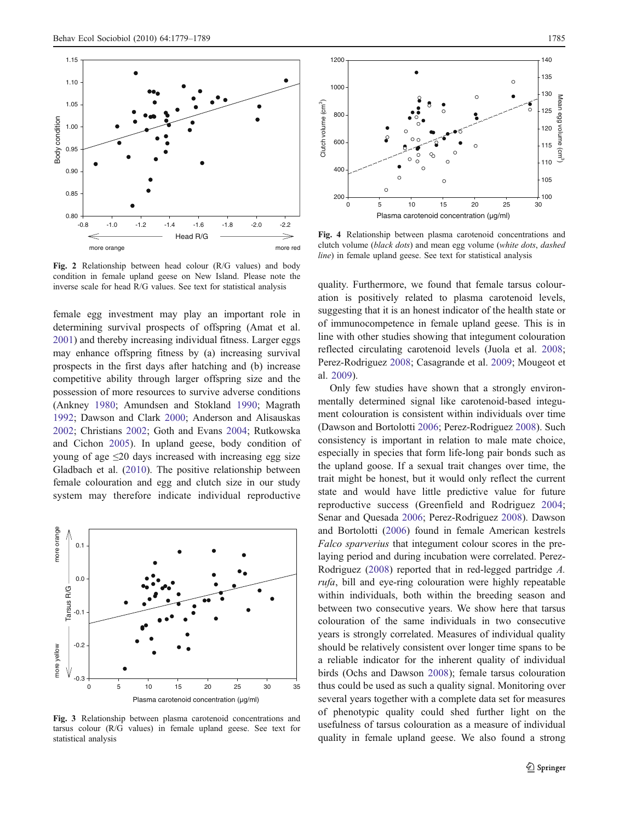<span id="page-6-0"></span>

Fig. 2 Relationship between head colour (R/G values) and body condition in female upland geese on New Island. Please note the inverse scale for head R/G values. See text for statistical analysis

female egg investment may play an important role in determining survival prospects of offspring (Amat et al. [2001\)](#page-8-0) and thereby increasing individual fitness. Larger eggs may enhance offspring fitness by (a) increasing survival prospects in the first days after hatching and (b) increase competitive ability through larger offspring size and the possession of more resources to survive adverse conditions (Ankney [1980](#page-8-0); Amundsen and Stokland [1990;](#page-8-0) Magrath [1992;](#page-9-0) Dawson and Clark [2000;](#page-9-0) Anderson and Alisauskas [2002;](#page-8-0) Christians [2002](#page-9-0); Goth and Evans [2004;](#page-9-0) Rutkowska and Cichon [2005](#page-10-0)). In upland geese, body condition of young of age  $\leq 20$  days increased with increasing egg size Gladbach et al. ([2010\)](#page-9-0). The positive relationship between female colouration and egg and clutch size in our study system may therefore indicate individual reproductive



Fig. 3 Relationship between plasma carotenoid concentrations and tarsus colour (R/G values) in female upland geese. See text for statistical analysis



Fig. 4 Relationship between plasma carotenoid concentrations and clutch volume (black dots) and mean egg volume (white dots, dashed line) in female upland geese. See text for statistical analysis

quality. Furthermore, we found that female tarsus colouration is positively related to plasma carotenoid levels, suggesting that it is an honest indicator of the health state or of immunocompetence in female upland geese. This is in line with other studies showing that integument colouration reflected circulating carotenoid levels (Juola et al. [2008;](#page-9-0) Perez-Rodriguez [2008](#page-10-0); Casagrande et al. [2009;](#page-9-0) Mougeot et al. [2009\)](#page-10-0).

Only few studies have shown that a strongly environmentally determined signal like carotenoid-based integument colouration is consistent within individuals over time (Dawson and Bortolotti [2006](#page-9-0); Perez-Rodriguez [2008](#page-10-0)). Such consistency is important in relation to male mate choice, especially in species that form life-long pair bonds such as the upland goose. If a sexual trait changes over time, the trait might be honest, but it would only reflect the current state and would have little predictive value for future reproductive success (Greenfield and Rodriguez [2004;](#page-9-0) Senar and Quesada [2006](#page-10-0); Perez-Rodriguez [2008\)](#page-10-0). Dawson and Bortolotti [\(2006](#page-9-0)) found in female American kestrels Falco sparverius that integument colour scores in the prelaying period and during incubation were correlated. Perez-Rodriguez ([2008\)](#page-10-0) reported that in red-legged partridge A. rufa, bill and eye-ring colouration were highly repeatable within individuals, both within the breeding season and between two consecutive years. We show here that tarsus colouration of the same individuals in two consecutive years is strongly correlated. Measures of individual quality should be relatively consistent over longer time spans to be a reliable indicator for the inherent quality of individual birds (Ochs and Dawson [2008\)](#page-10-0); female tarsus colouration thus could be used as such a quality signal. Monitoring over several years together with a complete data set for measures of phenotypic quality could shed further light on the usefulness of tarsus colouration as a measure of individual quality in female upland geese. We also found a strong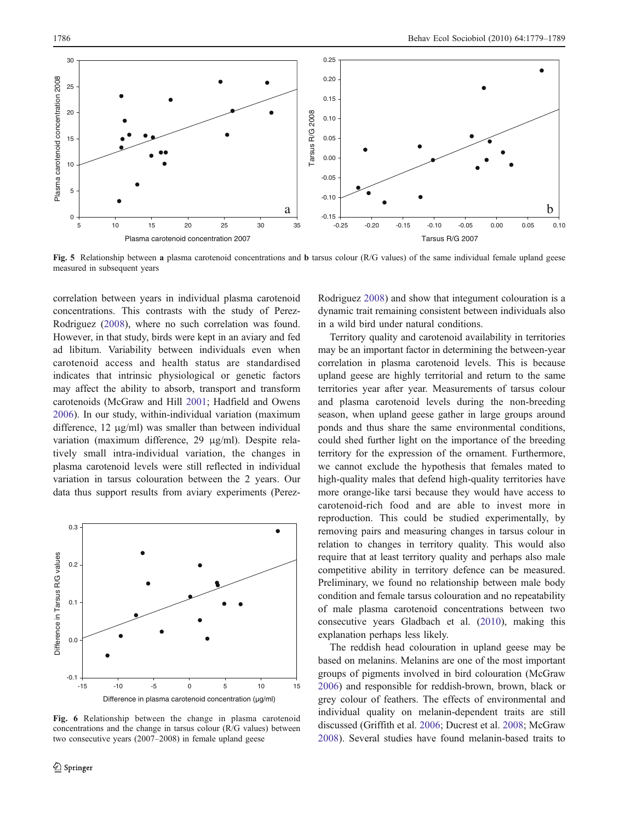<span id="page-7-0"></span>

Fig. 5 Relationship between a plasma carotenoid concentrations and **b** tarsus colour  $(R/G$  values) of the same individual female upland geese measured in subsequent years

correlation between years in individual plasma carotenoid concentrations. This contrasts with the study of Perez-Rodriguez [\(2008](#page-10-0)), where no such correlation was found. However, in that study, birds were kept in an aviary and fed ad libitum. Variability between individuals even when carotenoid access and health status are standardised indicates that intrinsic physiological or genetic factors may affect the ability to absorb, transport and transform carotenoids (McGraw and Hill [2001](#page-9-0); Hadfield and Owens [2006\)](#page-9-0). In our study, within-individual variation (maximum difference, 12 μg/ml) was smaller than between individual variation (maximum difference, 29 μg/ml). Despite relatively small intra-individual variation, the changes in plasma carotenoid levels were still reflected in individual variation in tarsus colouration between the 2 years. Our data thus support results from aviary experiments (Perez-



Fig. 6 Relationship between the change in plasma carotenoid concentrations and the change in tarsus colour (R/G values) between two consecutive years (2007–2008) in female upland geese

Rodriguez [2008](#page-10-0)) and show that integument colouration is a dynamic trait remaining consistent between individuals also in a wild bird under natural conditions.

Territory quality and carotenoid availability in territories may be an important factor in determining the between-year correlation in plasma carotenoid levels. This is because upland geese are highly territorial and return to the same territories year after year. Measurements of tarsus colour and plasma carotenoid levels during the non-breeding season, when upland geese gather in large groups around ponds and thus share the same environmental conditions, could shed further light on the importance of the breeding territory for the expression of the ornament. Furthermore, we cannot exclude the hypothesis that females mated to high-quality males that defend high-quality territories have more orange-like tarsi because they would have access to carotenoid-rich food and are able to invest more in reproduction. This could be studied experimentally, by removing pairs and measuring changes in tarsus colour in relation to changes in territory quality. This would also require that at least territory quality and perhaps also male competitive ability in territory defence can be measured. Preliminary, we found no relationship between male body condition and female tarsus colouration and no repeatability of male plasma carotenoid concentrations between two consecutive years Gladbach et al. [\(2010](#page-9-0)), making this explanation perhaps less likely.

The reddish head colouration in upland geese may be based on melanins. Melanins are one of the most important groups of pigments involved in bird colouration (McGraw [2006](#page-9-0)) and responsible for reddish-brown, brown, black or grey colour of feathers. The effects of environmental and individual quality on melanin-dependent traits are still discussed (Griffith et al. [2006;](#page-9-0) Ducrest et al. [2008;](#page-9-0) McGraw [2008](#page-9-0)). Several studies have found melanin-based traits to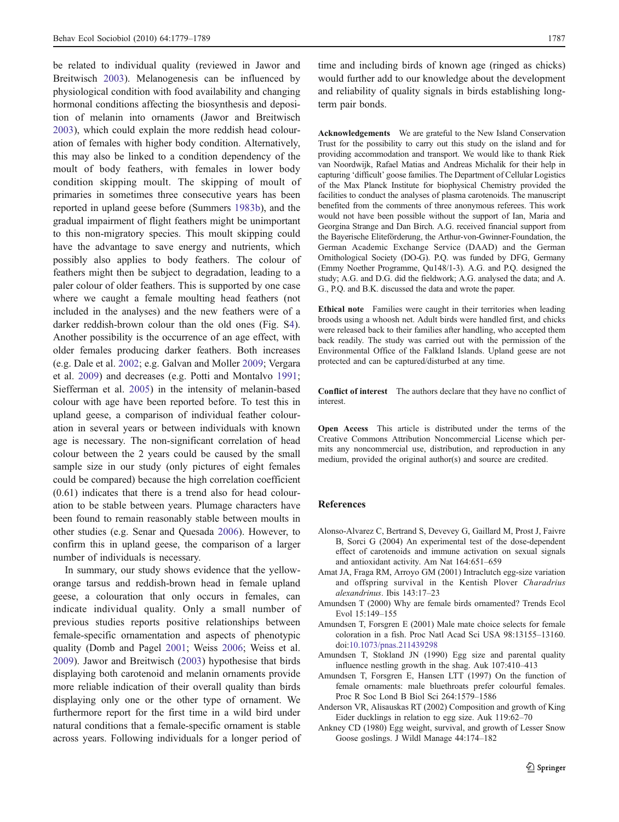<span id="page-8-0"></span>be related to individual quality (reviewed in Jawor and Breitwisch [2003\)](#page-9-0). Melanogenesis can be influenced by physiological condition with food availability and changing hormonal conditions affecting the biosynthesis and deposition of melanin into ornaments (Jawor and Breitwisch [2003\)](#page-9-0), which could explain the more reddish head colouration of females with higher body condition. Alternatively, this may also be linked to a condition dependency of the moult of body feathers, with females in lower body condition skipping moult. The skipping of moult of primaries in sometimes three consecutive years has been reported in upland geese before (Summers [1983b\)](#page-10-0), and the gradual impairment of flight feathers might be unimportant to this non-migratory species. This moult skipping could have the advantage to save energy and nutrients, which possibly also applies to body feathers. The colour of feathers might then be subject to degradation, leading to a paler colour of older feathers. This is supported by one case where we caught a female moulting head feathers (not included in the analyses) and the new feathers were of a darker reddish-brown colour than the old ones (Fig. S4). Another possibility is the occurrence of an age effect, with older females producing darker feathers. Both increases (e.g. Dale et al. [2002;](#page-9-0) e.g. Galvan and Moller [2009](#page-9-0); Vergara et al. [2009](#page-10-0)) and decreases (e.g. Potti and Montalvo [1991](#page-10-0); Siefferman et al. [2005](#page-10-0)) in the intensity of melanin-based colour with age have been reported before. To test this in upland geese, a comparison of individual feather colouration in several years or between individuals with known age is necessary. The non-significant correlation of head colour between the 2 years could be caused by the small sample size in our study (only pictures of eight females could be compared) because the high correlation coefficient (0.61) indicates that there is a trend also for head colouration to be stable between years. Plumage characters have been found to remain reasonably stable between moults in other studies (e.g. Senar and Quesada [2006\)](#page-10-0). However, to confirm this in upland geese, the comparison of a larger number of individuals is necessary.

In summary, our study shows evidence that the yelloworange tarsus and reddish-brown head in female upland geese, a colouration that only occurs in females, can indicate individual quality. Only a small number of previous studies reports positive relationships between female-specific ornamentation and aspects of phenotypic quality (Domb and Pagel [2001](#page-9-0); Weiss [2006;](#page-10-0) Weiss et al. [2009\)](#page-10-0). Jawor and Breitwisch [\(2003](#page-9-0)) hypothesise that birds displaying both carotenoid and melanin ornaments provide more reliable indication of their overall quality than birds displaying only one or the other type of ornament. We furthermore report for the first time in a wild bird under natural conditions that a female-specific ornament is stable across years. Following individuals for a longer period of

time and including birds of known age (ringed as chicks) would further add to our knowledge about the development and reliability of quality signals in birds establishing longterm pair bonds.

Acknowledgements We are grateful to the New Island Conservation Trust for the possibility to carry out this study on the island and for providing accommodation and transport. We would like to thank Riek van Noordwijk, Rafael Matias and Andreas Michalik for their help in capturing 'difficult' goose families. The Department of Cellular Logistics of the Max Planck Institute for biophysical Chemistry provided the facilities to conduct the analyses of plasma carotenoids. The manuscript benefited from the comments of three anonymous referees. This work would not have been possible without the support of Ian, Maria and Georgina Strange and Dan Birch. A.G. received financial support from the Bayerische Eliteförderung, the Arthur-von-Gwinner-Foundation, the German Academic Exchange Service (DAAD) and the German Ornithological Society (DO-G). P.Q. was funded by DFG, Germany (Emmy Noether Programme, Qu148/1-3). A.G. and P.Q. designed the study; A.G. and D.G. did the fieldwork; A.G. analysed the data; and A. G., P.Q. and B.K. discussed the data and wrote the paper.

Ethical note Families were caught in their territories when leading broods using a whoosh net. Adult birds were handled first, and chicks were released back to their families after handling, who accepted them back readily. The study was carried out with the permission of the Environmental Office of the Falkland Islands. Upland geese are not protected and can be captured/disturbed at any time.

Conflict of interest The authors declare that they have no conflict of interest.

Open Access This article is distributed under the terms of the Creative Commons Attribution Noncommercial License which permits any noncommercial use, distribution, and reproduction in any medium, provided the original author(s) and source are credited.

# References

- Alonso-Alvarez C, Bertrand S, Devevey G, Gaillard M, Prost J, Faivre B, Sorci G (2004) An experimental test of the dose-dependent effect of carotenoids and immune activation on sexual signals and antioxidant activity. Am Nat 164:651–659
- Amat JA, Fraga RM, Arroyo GM (2001) Intraclutch egg-size variation and offspring survival in the Kentish Plover Charadrius alexandrinus. Ibis 143:17–23
- Amundsen T (2000) Why are female birds ornamented? Trends Ecol Evol 15:149–155
- Amundsen T, Forsgren E (2001) Male mate choice selects for female coloration in a fish. Proc Natl Acad Sci USA 98:13155–13160. doi[:10.1073/pnas.211439298](http://dx.doi.org/10.1073/pnas.211439298)
- Amundsen T, Stokland JN (1990) Egg size and parental quality influence nestling growth in the shag. Auk 107:410–413
- Amundsen T, Forsgren E, Hansen LTT (1997) On the function of female ornaments: male bluethroats prefer colourful females. Proc R Soc Lond B Biol Sci 264:1579–1586
- Anderson VR, Alisauskas RT (2002) Composition and growth of King Eider ducklings in relation to egg size. Auk 119:62–70
- Ankney CD (1980) Egg weight, survival, and growth of Lesser Snow Goose goslings. J Wildl Manage 44:174–182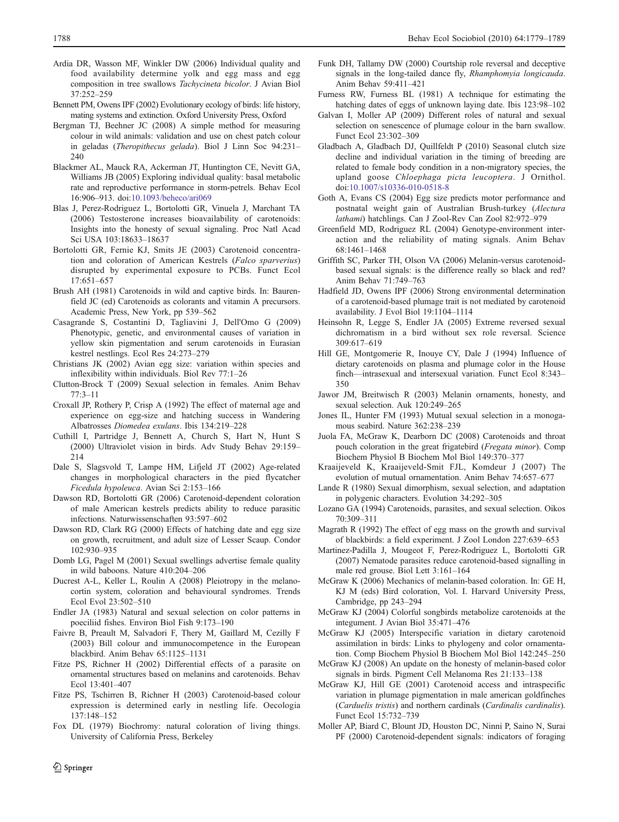- <span id="page-9-0"></span>Ardia DR, Wasson MF, Winkler DW (2006) Individual quality and food availability determine yolk and egg mass and egg composition in tree swallows Tachycineta bicolor. J Avian Biol  $37.252 - 259$
- Bennett PM, Owens IPF (2002) Evolutionary ecology of birds: life history, mating systems and extinction. Oxford University Press, Oxford
- Bergman TJ, Beehner JC (2008) A simple method for measuring colour in wild animals: validation and use on chest patch colour in geladas (Theropithecus gelada). Biol J Linn Soc 94:231– 240
- Blackmer AL, Mauck RA, Ackerman JT, Huntington CE, Nevitt GA, Williams JB (2005) Exploring individual quality: basal metabolic rate and reproductive performance in storm-petrels. Behav Ecol 16:906–913. doi[:10.1093/beheco/ari069](http://dx.doi.org/10.1093/beheco/ari069)
- Blas J, Perez-Rodriguez L, Bortolotti GR, Vinuela J, Marchant TA (2006) Testosterone increases bioavailability of carotenoids: Insights into the honesty of sexual signaling. Proc Natl Acad Sci USA 103:18633–18637
- Bortolotti GR, Fernie KJ, Smits JE (2003) Carotenoid concentration and coloration of American Kestrels (Falco sparverius) disrupted by experimental exposure to PCBs. Funct Ecol 17:651–657
- Brush AH (1981) Carotenoids in wild and captive birds. In: Baurenfield JC (ed) Carotenoids as colorants and vitamin A precursors. Academic Press, New York, pp 539–562
- Casagrande S, Costantini D, Tagliavini J, Dell'Omo G (2009) Phenotypic, genetic, and environmental causes of variation in yellow skin pigmentation and serum carotenoids in Eurasian kestrel nestlings. Ecol Res 24:273–279
- Christians JK (2002) Avian egg size: variation within species and inflexibility within individuals. Biol Rev 77:1–26
- Clutton-Brock T (2009) Sexual selection in females. Anim Behav 77:3–11
- Croxall JP, Rothery P, Crisp A (1992) The effect of maternal age and experience on egg-size and hatching success in Wandering Albatrosses Diomedea exulans. Ibis 134:219–228
- Cuthill I, Partridge J, Bennett A, Church S, Hart N, Hunt S (2000) Ultraviolet vision in birds. Adv Study Behav 29:159– 214
- Dale S, Slagsvold T, Lampe HM, Lifjeld JT (2002) Age-related changes in morphological characters in the pied flycatcher Ficedula hypoleuca. Avian Sci 2:153–166
- Dawson RD, Bortolotti GR (2006) Carotenoid-dependent coloration of male American kestrels predicts ability to reduce parasitic infections. Naturwissenschaften 93:597–602
- Dawson RD, Clark RG (2000) Effects of hatching date and egg size on growth, recruitment, and adult size of Lesser Scaup. Condor 102:930–935
- Domb LG, Pagel M (2001) Sexual swellings advertise female quality in wild baboons. Nature 410:204–206
- Ducrest A-L, Keller L, Roulin A (2008) Pleiotropy in the melanocortin system, coloration and behavioural syndromes. Trends Ecol Evol 23:502–510
- Endler JA (1983) Natural and sexual selection on color patterns in poeciliid fishes. Environ Biol Fish 9:173–190
- Faivre B, Preault M, Salvadori F, Thery M, Gaillard M, Cezilly F (2003) Bill colour and immunocompetence in the European blackbird. Anim Behav 65:1125–1131
- Fitze PS, Richner H (2002) Differential effects of a parasite on ornamental structures based on melanins and carotenoids. Behav Ecol 13:401–407
- Fitze PS, Tschirren B, Richner H (2003) Carotenoid-based colour expression is determined early in nestling life. Oecologia 137:148–152
- Fox DL (1979) Biochromy: natural coloration of living things. University of California Press, Berkeley
- Funk DH, Tallamy DW (2000) Courtship role reversal and deceptive signals in the long-tailed dance fly, Rhamphomyia longicauda. Anim Behav 59:411–421
- Furness RW, Furness BL (1981) A technique for estimating the hatching dates of eggs of unknown laying date. Ibis 123:98–102
- Galvan I, Moller AP (2009) Different roles of natural and sexual selection on senescence of plumage colour in the barn swallow. Funct Ecol 23:302–309
- Gladbach A, Gladbach DJ, Quillfeldt P (2010) Seasonal clutch size decline and individual variation in the timing of breeding are related to female body condition in a non-migratory species, the upland goose Chloephaga picta leucoptera. J Ornithol. doi[:10.1007/s10336-010-0518-8](http://dx.doi.org/10.1007/s10336-010-0518-8)
- Goth A, Evans CS (2004) Egg size predicts motor performance and postnatal weight gain of Australian Brush-turkey (Alectura lathami) hatchlings. Can J Zool-Rev Can Zool 82:972–979
- Greenfield MD, Rodriguez RL (2004) Genotype-environment interaction and the reliability of mating signals. Anim Behav 68:1461–1468
- Griffith SC, Parker TH, Olson VA (2006) Melanin-versus carotenoidbased sexual signals: is the difference really so black and red? Anim Behav 71:749–763
- Hadfield JD, Owens IPF (2006) Strong environmental determination of a carotenoid-based plumage trait is not mediated by carotenoid availability. J Evol Biol 19:1104–1114
- Heinsohn R, Legge S, Endler JA (2005) Extreme reversed sexual dichromatism in a bird without sex role reversal. Science 309:617–619
- Hill GE, Montgomerie R, Inouye CY, Dale J (1994) Influence of dietary carotenoids on plasma and plumage color in the House finch—intrasexual and intersexual variation. Funct Ecol 8:343– 350
- Jawor JM, Breitwisch R (2003) Melanin ornaments, honesty, and sexual selection. Auk 120:249–265
- Jones IL, Hunter FM (1993) Mutual sexual selection in a monogamous seabird. Nature 362:238–239
- Juola FA, McGraw K, Dearborn DC (2008) Carotenoids and throat pouch coloration in the great frigatebird (Fregata minor). Comp Biochem Physiol B Biochem Mol Biol 149:370–377
- Kraaijeveld K, Kraaijeveld-Smit FJL, Komdeur J (2007) The evolution of mutual ornamentation. Anim Behav 74:657–677
- Lande R (1980) Sexual dimorphism, sexual selection, and adaptation in polygenic characters. Evolution 34:292–305
- Lozano GA (1994) Carotenoids, parasites, and sexual selection. Oikos 70:309–311
- Magrath R (1992) The effect of egg mass on the growth and survival of blackbirds: a field experiment. J Zool London 227:639–653
- Martinez-Padilla J, Mougeot F, Perez-Rodriguez L, Bortolotti GR (2007) Nematode parasites reduce carotenoid-based signalling in male red grouse. Biol Lett 3:161–164
- McGraw K (2006) Mechanics of melanin-based coloration. In: GE H, KJ M (eds) Bird coloration, Vol. I. Harvard University Press, Cambridge, pp 243–294
- McGraw KJ (2004) Colorful songbirds metabolize carotenoids at the integument. J Avian Biol 35:471–476
- McGraw KJ (2005) Interspecific variation in dietary carotenoid assimilation in birds: Links to phylogeny and color ornamentation. Comp Biochem Physiol B Biochem Mol Biol 142:245–250
- McGraw KJ (2008) An update on the honesty of melanin-based color signals in birds. Pigment Cell Melanoma Res 21:133–138
- McGraw KJ, Hill GE (2001) Carotenoid access and intraspecific variation in plumage pigmentation in male american goldfinches (Carduelis tristis) and northern cardinals (Cardinalis cardinalis). Funct Ecol 15:732–739
- Moller AP, Biard C, Blount JD, Houston DC, Ninni P, Saino N, Surai PF (2000) Carotenoid-dependent signals: indicators of foraging